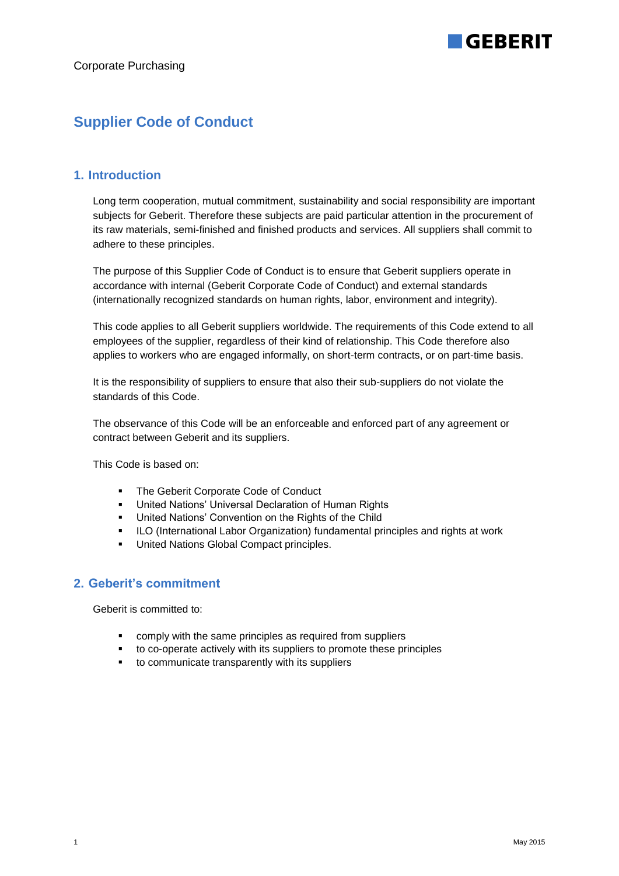## **Supplier Code of Conduct**

## **1. Introduction**

Long term cooperation, mutual commitment, sustainability and social responsibility are important subjects for Geberit. Therefore these subjects are paid particular attention in the procurement of its raw materials, semi-finished and finished products and services. All suppliers shall commit to adhere to these principles.

The purpose of this Supplier Code of Conduct is to ensure that Geberit suppliers operate in accordance with internal (Geberit Corporate Code of Conduct) and external standards (internationally recognized standards on human rights, labor, environment and integrity).

This code applies to all Geberit suppliers worldwide. The requirements of this Code extend to all employees of the supplier, regardless of their kind of relationship. This Code therefore also applies to workers who are engaged informally, on short-term contracts, or on part-time basis.

It is the responsibility of suppliers to ensure that also their sub-suppliers do not violate the standards of this Code.

The observance of this Code will be an enforceable and enforced part of any agreement or contract between Geberit and its suppliers.

This Code is based on:

- **The Geberit Corporate Code of Conduct**
- United Nations' Universal Declaration of Human Rights
- United Nations' Convention on the Rights of the Child<br>■ II O (International Labor Organization) fundamental pri
- ILO (International Labor Organization) fundamental principles and rights at work
- **United Nations Global Compact principles.**

## **2. Geberit's commitment**

Geberit is committed to:

- comply with the same principles as required from suppliers
- to co-operate actively with its suppliers to promote these principles
- to communicate transparently with its suppliers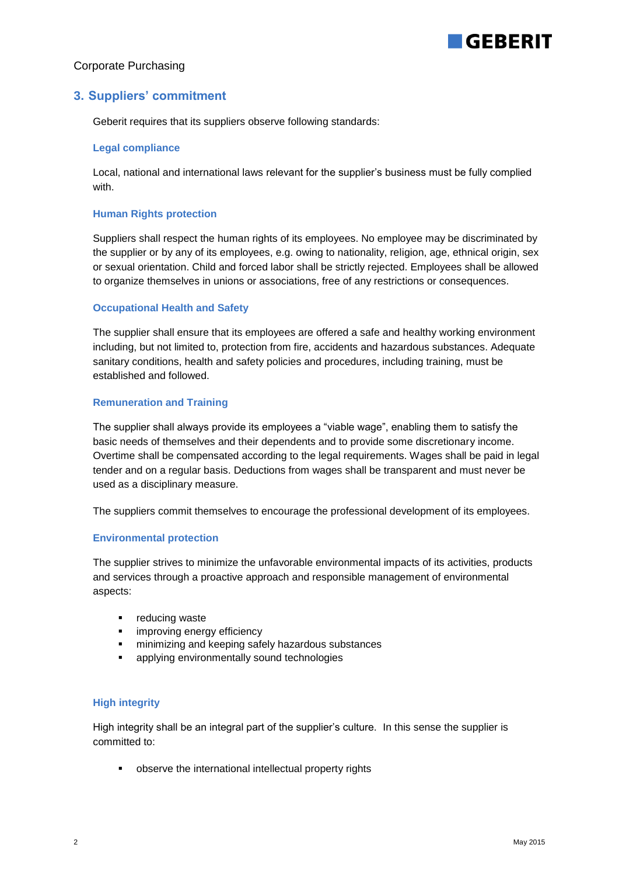# GERERIT

## Corporate Purchasing

## **3. Suppliers' commitment**

Geberit requires that its suppliers observe following standards:

#### **Legal compliance**

Local, national and international laws relevant for the supplier's business must be fully complied with.

#### **Human Rights protection**

Suppliers shall respect the human rights of its employees. No employee may be discriminated by the supplier or by any of its employees, e.g. owing to nationality, religion, age, ethnical origin, sex or sexual orientation. Child and forced labor shall be strictly rejected. Employees shall be allowed to organize themselves in unions or associations, free of any restrictions or consequences.

#### **Occupational Health and Safety**

The supplier shall ensure that its employees are offered a safe and healthy working environment including, but not limited to, protection from fire, accidents and hazardous substances. Adequate sanitary conditions, health and safety policies and procedures, including training, must be established and followed.

#### **Remuneration and Training**

The supplier shall always provide its employees a "viable wage", enabling them to satisfy the basic needs of themselves and their dependents and to provide some discretionary income. Overtime shall be compensated according to the legal requirements. Wages shall be paid in legal tender and on a regular basis. Deductions from wages shall be transparent and must never be used as a disciplinary measure.

The suppliers commit themselves to encourage the professional development of its employees.

#### **Environmental protection**

The supplier strives to minimize the unfavorable environmental impacts of its activities, products and services through a proactive approach and responsible management of environmental aspects:

- **•** reducing waste
- **·** improving energy efficiency
- minimizing and keeping safely hazardous substances
- **applying environmentally sound technologies**

#### **High integrity**

High integrity shall be an integral part of the supplier's culture. In this sense the supplier is committed to:

observe the international intellectual property rights